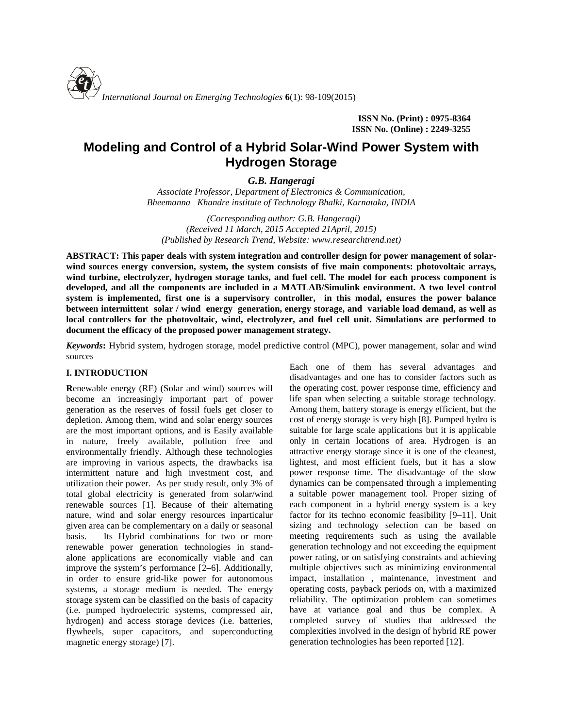

**ISSN No. (Print) : 0975-8364 ISSN No. (Online) : 2249-3255**

# **Modeling and Control of a Hybrid Solar-Wind Power System with Hydrogen Storage**

*G.B. Hangeragi*

*Associate Professor, Department of Electronics & Communication, Bheemanna Khandre institute of Technology Bhalki, Karnataka, INDIA*

*(Corresponding author: G.B. Hangeragi) (Received 11 March, 2015 Accepted 21April, 2015) (Published by Research Trend, Website: [www.researchtrend.net\)](www.researchtrend.net)*

**ABSTRACT: This paper deals with system integration and controller design for power management of solar wind sources energy conversion, system, the system consists of five main components: photovoltaic arrays, wind turbine, electrolyzer, hydrogen storage tanks, and fuel cell. The model for each process component is developed, and all the components are included in a MATLAB/Simulink environment. A two level control system is implemented, first one is a supervisory controller, in this modal, ensures the power balance between intermittent solar / wind energy generation, energy storage, and variable load demand, as well as local controllers for the photovoltaic, wind, electrolyzer, and fuel cell unit. Simulations are performed to document the efficacy of the proposed power management strategy.**

*Keywords***:** Hybrid system, hydrogen storage, model predictive control (MPC), power management, solar and wind sources

# **I. INTRODUCTION**

**R**enewable energy (RE) (Solar and wind) sources will become an increasingly important part of power generation as the reserves of fossil fuels get closer to depletion. Among them, wind and solar energy sources are the most important options, and is Easily available in nature, freely available, pollution free and environmentally friendly. Although these technologies are improving in various aspects, the drawbacks isa intermittent nature and high investment cost, and utilization their power. As per study result, only 3% of total global electricity is generated from solar/wind renewable sources [1]. Because of their alternating nature, wind and solar energy resources inparticalur given area can be complementary on a daily or seasonal basis. Its Hybrid combinations for two or more renewable power generation technologies in stand alone applications are economically viable and can improve the system's performance [2–6]. Additionally, in order to ensure grid-like power for autonomous systems, a storage medium is needed. The energy storage system can be classified on the basis of capacity (i.e. pumped hydroelectric systems, compressed air, hydrogen) and access storage devices (i.e. batteries, flywheels, super capacitors, and superconducting magnetic energy storage) [7].

Each one of them has several advantages and disadvantages and one has to consider factors such as the operating cost, power response time, efficiency and life span when selecting a suitable storage technology. Among them, battery storage is energy efficient, but the cost of energy storage is very high [8]. Pumped hydro is suitable for large scale applications but it is applicable only in certain locations of area. Hydrogen is an attractive energy storage since it is one of the cleanest, lightest, and most efficient fuels, but it has a slow power response time. The disadvantage of the slow dynamics can be compensated through a implementing a suitable power management tool. Proper sizing of each component in a hybrid energy system is a key factor for its techno economic feasibility [9–11]. Unit sizing and technology selection can be based on meeting requirements such as using the available generation technology and not exceeding the equipment power rating, or on satisfying constraints and achieving multiple objectives such as minimizing environmental impact, installation , maintenance, investment and operating costs, payback periods on, with a maximized reliability. The optimization problem can sometimes have at variance goal and thus be complex. A completed survey of studies that addressed the complexities involved in the design of hybrid RE power generation technologies has been reported [12].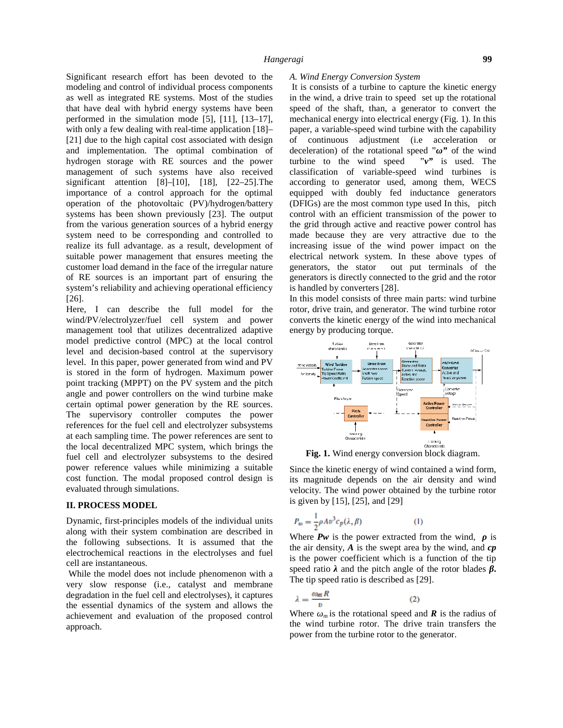Significant research effort has been devoted to the modeling and control of individual process components as well as integrated RE systems. Most of the studies that have deal with hybrid energy systems have been performed in the simulation mode [5], [11], [13–17], with only a few dealing with real-time application [18]– [21] due to the high capital cost associated with design and implementation. The optimal combination of hydrogen storage with RE sources and the power management of such systems have also received significant attention [8]–[10], [18], [22–25].The importance of a control approach for the optimal operation of the photovoltaic (PV)/hydrogen/battery systems has been shown previously [23]. The output from the various generation sources of a hybrid energy system need to be corresponding and controlled to realize its full advantage. as a result, development of suitable power management that ensures meeting the customer load demand in the face of the irregular nature generators, the stator of RE sources is an important part of ensuring the system's reliability and achieving operational efficiency [26].

Here, I can describe the full model for the wind/PV/electrolyzer/fuel cell system and power management tool that utilizes decentralized adaptive model predictive control (MPC) at the local control level and decision-based control at the supervisory level. In this paper, power generated from wind and PV is stored in the form of hydrogen. Maximum power point tracking (MPPT) on the PV system and the pitch angle and power controllers on the wind turbine make certain optimal power generation by the RE sources. The supervisory controller computes the power references for the fuel cell and electrolyzer subsystems at each sampling time. The power references are sent to the local decentralized MPC system, which brings the fuel cell and electrolyzer subsystems to the desired power reference values while minimizing a suitable cost function. The modal proposed control design is evaluated through simulations.

# **II. PROCESS MODEL**

Dynamic, first-principles models of the individual units along with their system combination are described in the following subsections. It is assumed that the electrochemical reactions in the electrolyses and fuel cell are instantaneous.

While the model does not include phenomenon with a very slow response (i.e., catalyst and membrane degradation in the fuel cell and electrolyses), it captures the essential dynamics of the system and allows the achievement and evaluation of the proposed control approach.

## *A. Wind Energy Conversion System*

It is consists of a turbine to capture the kinetic energy in the wind, a drive train to speed set up the rotational speed of the shaft, than, a generator to convert the mechanical energy into electrical energy (Fig. 1). In this paper, a variable-speed wind turbine with the capability of continuous adjustment (i.e acceleration or deceleration) of the rotational speed " *"* of the wind turbine to the wind speed "*v"* is used. The classification of variable-speed wind turbines is according to generator used, among them, WECS equipped with doubly fed inductance generators (DFIGs) are the most common type used In this, pitch control with an efficient transmission of the power to the grid through active and reactive power control has made because they are very attractive due to the increasing issue of the wind power impact on the electrical network system. In these above types of out put terminals of the generators is directly connected to the grid and the rotor is handled by converters [28].

In this model consists of three main parts: wind turbine rotor, drive train, and generator. The wind turbine rotor converts the kinetic energy of the wind into mechanical energy by producing torque.



**Fig. 1.** Wind energy conversion block diagram.

Since the kinetic energy of wind contained a wind form, its magnitude depends on the air density and wind velocity. The wind power obtained by the turbine rotor is given by [15], [25], and [29]

$$
P_w = \frac{1}{2} \rho A v^3 c_p(\lambda, \beta) \tag{1}
$$

Where  $Pw$  is the power extracted from the wind, is the air density, *A* is the swept area by the wind, and *cp* is the power coefficient which is a function of the tip speed ratio and the pitch angle of the rotor blades **.** The tip speed ratio is described as [29].

$$
\lambda = \frac{\omega_m \kappa}{n} \tag{2}
$$

Where  $\mu$  is the rotational speed and **R** is the radius of the wind turbine rotor. The drive train transfers the power from the turbine rotor to the generator.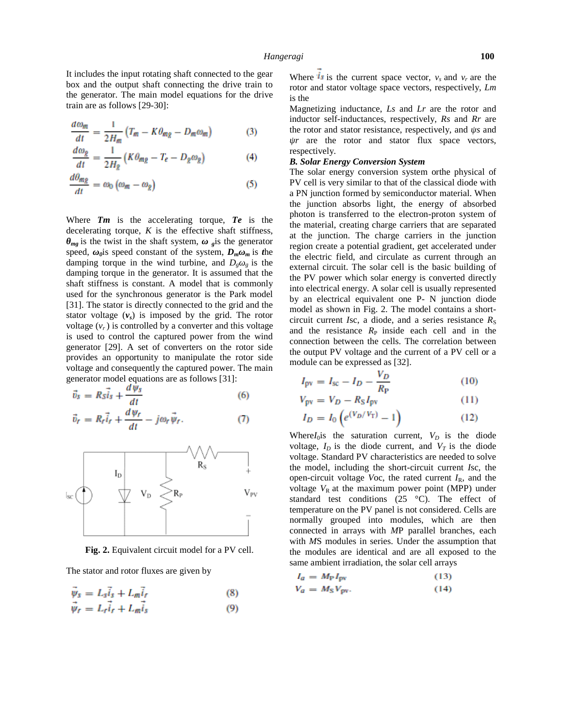It includes the input rotating shaft connected to the gear box and the output shaft connecting the drive train to the generator. The main model equations for the drive train are as follows [29-30]:

$$
\frac{d\omega_m}{dt} = \frac{1}{2H_m} \left( T_m - K\theta_{mg} - D_m \omega_m \right) \tag{3}
$$

$$
\frac{d\omega_{g}}{dt} = \frac{1}{2H_{g}} \left( K\theta_{mg} - T_{e} - D_{g}\omega_{g} \right) \tag{4}
$$

$$
\frac{d\theta_{mg}}{dt} = \omega_0 \left( \omega_m - \omega_g \right) \tag{5}
$$

Where *Tm* is the accelerating torque, *Te* is the decelerating torque,  $K$  is the effective shaft stiffness,

 $mg$  is the twist in the shaft system,  $g$  is the generator speed,  $\phi$  is speed constant of the system,  $D_m$  *m* is the damping torque in the wind turbine, and  $D_g$  *g* is the damping torque in the generator. It is assumed that the shaft stiffness is constant. A model that is commonly used for the synchronous generator is the Park model [31]. The stator is directly connected to the grid and the stator voltage  $(v<sub>s</sub>)$  is imposed by the grid. The rotor voltage  $(v_r)$  is controlled by a converter and this voltage is used to control the captured power from the wind generator [29]. A set of converters on the rotor side provides an opportunity to manipulate the rotor side voltage and consequently the captured power. The main generator model equations are as follows [31]:

$$
\vec{v}_s = R_s \vec{i}_s + \frac{d\psi_s}{dt} \tag{6}
$$

$$
\vec{v}_r = R_r \vec{i}_r + \frac{d\psi_r}{dt} - j\omega_r \vec{\psi}_r. \tag{7}
$$



**Fig. 2.** Equivalent circuit model for a PV cell.

The stator and rotor fluxes are given by

$$
\ddot{\psi}_s = L_s \vec{i}_s + L_m \vec{i}_r \tag{8}
$$

$$
\ddot{\psi}_r = L_r \dot{i}_r + L_m \dot{i}_s \tag{9}
$$

Where **is** is the current space vector,  $v_s$  and  $v_r$  are the rotor and stator voltage space vectors, respectively, *Lm* is the

Magnetizing inductance, *Ls* and *Lr* are the rotor and inductor self-inductances, respectively, *Rs* and *Rr* are the rotor and stator resistance, respectively, and *s* and *r* are the rotor and stator flux space vectors, respectively.

# *B. Solar Energy Conversion System*

The solar energy conversion system orthe physical of PV cell is very similar to that of the classical diode with a PN junction formed by semiconductor material. When the junction absorbs light, the energy of absorbed photon is transferred to the electron-proton system of the material, creating charge carriers that are separated at the junction. The charge carriers in the junction region create a potential gradient, get accelerated under the electric field, and circulate as current through an external circuit. The solar cell is the basic building of the PV power which solar energy is converted directly into electrical energy. A solar cell is usually represented by an electrical equivalent one P- N junction diode model as shown in Fig. 2. The model contains a short circuit current *Isc*, a diode, and a series resistance  $R<sub>S</sub>$ and the resistance  $R<sub>P</sub>$  inside each cell and in the connection between the cells. The correlation between the output PV voltage and the current of a PV cell or a module can be expressed as [32].

$$
I_{\rm pv} = I_{\rm sc} - I_D - \frac{V_D}{R_{\rm P}}\tag{10}
$$

$$
V_{\text{pv}} = V_D - R_{\text{S}} I_{\text{pv}} \tag{11}
$$

$$
I_D = I_0 \left( e^{(V_D / V_T)} - 1 \right) \tag{12}
$$

Where $I_0$ is the saturation current,  $V_D$  is the diode voltage,  $I_D$  is the diode current, and  $V_T$  is the diode voltage. Standard PV characteristics are needed to solve the model, including the short-circuit current *I*sc, the open-circuit voltage *V*oc, the rated current  $I_R$ , and the voltage  $V_R$  at the maximum power point (MPP) under standard test conditions  $(25 \degree C)$ . The effect of temperature on the PV panel is not considered. Cells are normally grouped into modules, which are then connected in arrays with *M*P parallel branches, each with *M*S modules in series. Under the assumption that the modules are identical and are all exposed to the same ambient irradiation, the solar cell arrays

$$
I_a = M_{\rm P} I_{\rm pv} \tag{13}
$$

$$
V_a = M_{\rm S} V_{\rm pv}.\tag{14}
$$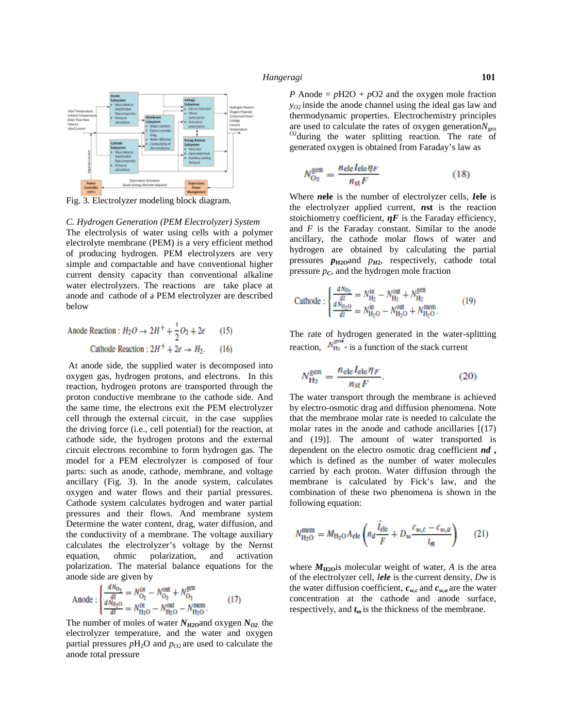

Fig. 3. Electrolyzer modeling block diagram.

# *C. Hydrogen Generation (PEM Electrolyzer) System*

The electrolysis of water using cells with a polymer electrolyte membrane (PEM) is a very efficient method of producing hydrogen. PEM electrolyzers are very simple and compactable and have conventional higher current density capacity than conventional alkaline water electrolyzers. The reactions are take place at anode and cathode of a PEM electrolyzer are described below

Anode Reaction : 
$$
H_2O \rightarrow 2H^+ + \frac{1}{2}O_2 + 2e
$$
 (15)  
Cathode Reaction :  $2H^+ + 2e \rightarrow H_2$ . (16)

At anode side, the supplied water is decomposed into oxygen gas, hydrogen protons, and electrons. In this reaction, hydrogen protons are transported through the proton conductive membrane to the cathode side. And the same time, the electrons exit the PEM electrolyzer cell through the external circuit, in the case supplies the driving force (i.e., cell potential) for the reaction, at cathode side, the hydrogen protons and the external circuit electrons recombine to form hydrogen gas. The model for a PEM electrolyzer is composed of four parts: such as anode, cathode, membrane, and voltage ancillary (Fig. 3). In the anode system, calculates oxygen and water flows and their partial pressures. Cathode system calculates hydrogen and water partial pressures and their flows. And membrane system Determine the water content, drag, water diffusion, and the conductivity of a membrane. The voltage auxiliary calculates the electrolyzer's voltage by the Nernst equation, ohmic polarization, and activation polarization. The material balance equations for the anode side are given by

Anode: 
$$
\begin{cases} \frac{dN_{\text{O}_2}}{dt} = N_{\text{O}_2}^{in} - N_{\text{O}_2}^{\text{out}} + N_{\text{O}_2}^{\text{gen}} \\ \frac{dN_{\text{H}_2\text{O}}}{dt} = N_{\text{H}_2\text{O}}^{in} - N_{\text{H}_2\text{O}}^{\text{out}} - N_{\text{H}_2\text{O}}^{\text{mem}}. \end{cases}
$$
(17)

The number of moles of water  $N_{H2O}$  and oxygen  $N_{O2}$ , the electrolyzer temperature, and the water and oxygen partial pressures  $pH_2O$  and  $p_{O2}$  are used to calculate the anode total pressure

*P* Anode =  $pH2O + pO2$  and the oxygen mole fraction *y*O2 inside the anode channel using the ideal gas law and thermodynamic properties. Electrochemistry principles are used to calculate the rates of oxygen generation $N_{\text{gen}}$  <sup>02</sup>during the water splitting reaction. The rate of generated oxygen is obtained from Faraday's law as

$$
N_{\text{O}_2}^{\text{gen}} = \frac{n_{\text{ele}} I_{\text{ele}} \eta_F}{n_{\text{st}} F} \tag{18}
$$

Where *n***ele** is the number of electrolyzer cells, *I***ele** is the electrolyzer applied current, *n***st** is the reaction stoichiometry coefficient,  $\boldsymbol{F}$  is the Faraday efficiency, and *F* is the Faraday constant. Similar to the anode ancillary, the cathode molar flows of water and hydrogen are obtained by calculating the partial pressures *p***H2O**and *pH***<sup>2</sup>**, respectively, cathode total pressure  $p_c$ , and the hydrogen mole fraction

Cathode : 
$$
\begin{cases} \frac{dN_{\text{H}_2}}{dt} = N_{\text{H}_2}^{\text{in}} - N_{\text{H}_2}^{\text{out}} + N_{\text{H}_2}^{\text{gen}} \\ \frac{dN_{\text{H}_2\text{O}}}{dt} = N_{\text{H}_2\text{O}}^{\text{in}} - N_{\text{H}_2\text{O}}^{\text{out}} + N_{\text{H}_2\text{O}}^{\text{mem}}. \end{cases}
$$
(19)

The rate of hydrogen generated in the water-splitting reaction,  $N_{\text{H}_2}^{\text{gen}}$ , is a function of the stack current

$$
N_{\text{H}_2}^{\text{gen}} = \frac{n_{\text{ele}} I_{\text{ele}} \eta_F}{n_{\text{st}} F}.
$$
 (20)

The water transport through the membrane is achieved by electro-osmotic drag and diffusion phenomena. Note that the membrane molar rate is needed to calculate the molar rates in the anode and cathode ancillaries [(17) and (19)]. The amount of water transported is dependent on the electro osmotic drag coefficient *nd* **,** which is defined as the number of water molecules carried by each proton. Water diffusion through the membrane is calculated by Fick's law, and the combination of these two phenomena is shown in the following equation:

$$
N_{\text{H}_2\text{O}}^{\text{mem}} = M_{\text{H}_2\text{O}} A_{\text{ele}} \left( n_d \frac{\bar{I}_{\text{ele}}}{F} + D_w \frac{c_{w,c} - c_{w,a}}{t_m} \right) \tag{21}
$$

where  $M_{\text{H2O}}$  is molecular weight of water, *A* is the area of the electrolyzer cell, *Iele* is the current density, *Dw* is the water diffusion coefficient,  $c_{w,c}$  and  $c_{w,a}$  are the water concentration at the cathode and anode surface, respectively, and  $t_m$  is the thickness of the membrane.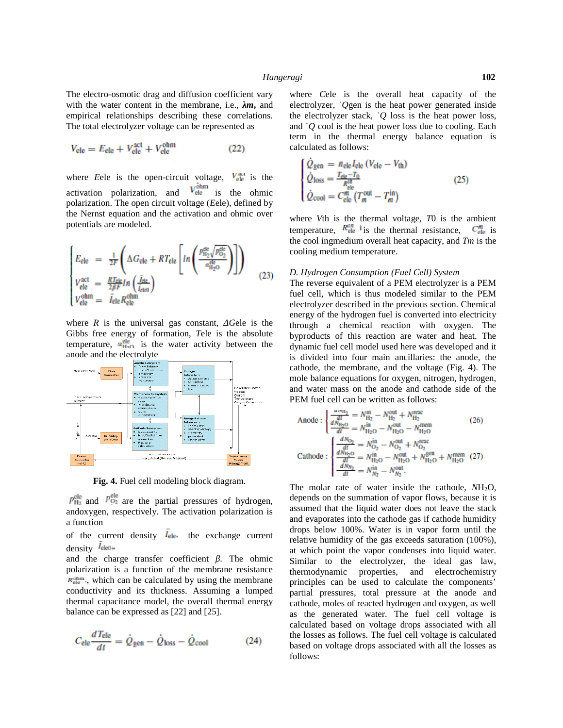The electro-osmotic drag and diffusion coefficient vary with the water content in the membrane, i.e., *m***,** and empirical relationships describing these correlations. The total electrolyzer voltage can be represented as

$$
V_{\text{ele}} = E_{\text{ele}} + V_{\text{ele}}^{\text{act}} + V_{\text{ele}}^{\text{ohm}} \tag{22}
$$

where *E*ele is the open-circuit voltage,  $V_{\text{ele}}^{\text{thm}}$  is the activation polarization, and  $V_{\text{ele}}^{\text{thm}}$  is the ohmic activation polarization, and  $\overline{V_{ele}}$  is the ohmic polarization. The open circuit voltage (*E*ele), defined by the Nernst equation and the activation and ohmic over potentials are modeled.

$$
\begin{cases}\nE_{\text{ele}} = \frac{1}{2F} \left( \Delta G_{\text{ele}} + RT_{\text{ele}} \left[ ln \left( \frac{P_{\text{H}_2}^{\text{ele}} \sqrt{p_{\text{O}_2}^{\text{ele}}}}{a_{\text{H}_2\text{O}}^{\text{ele}}} \right) \right] \right) \\
V_{\text{ele}}^{\text{act}} = \frac{RT_{\text{ele}}}{2\beta F} ln \left( \frac{\bar{l}_{\text{ele}}}{\bar{l}_{\text{ele0}}} \right) \\
V_{\text{ele}}^{\text{ohm}} = \bar{l}_{\text{ele}} R_{\text{ele}}^{\text{ohm}}\n\end{cases} (23)
$$

where *R* is the universal gas constant, *G*ele is the Gibbs free energy of formation, *T*ele is the absolute temperature,  $\alpha_{H_1}^{\text{ele}}$  is the water activity between the anode and the electrolyte



**Fig. 4.** Fuel cell modeling block diagram.

 $p_{\text{H}_2}^{\text{ele}}$  and  $p_{\text{O}_2}^{\text{ele}}$  are the partial pressures of hydrogen, andoxygen, respectively. The activation polarization is a function

of the current density  $I_{ele}$ , the exchange current density  $I_{ele0}$ .

and the charge transfer coefficient . The ohmic polarization is a function of the membrane resistance  $R_{ele}^{ohm}$ , which can be calculated by using the membrane conductivity and its thickness. Assuming a lumped thermal capacitance model, the overall thermal energy balance can be expressed as [22] and [25].

$$
C_{\rm ele} \frac{dT_{\rm ele}}{dt} = \dot{Q}_{\rm gen} - \dot{Q}_{\rm loss} - \dot{Q}_{\rm cool} \tag{24}
$$

where *C*ele is the overall heat capacity of the electrolyzer, ˙*Q*gen is the heat power generated inside the electrolyzer stack, ˙*Q* loss is the heat power loss, and ˙*Q* cool is the heat power loss due to cooling. Each term in the thermal energy balance equation is calculated as follows:

$$
\begin{cases}\n\dot{Q}_{\text{gen}} = n_{\text{ele}} I_{\text{ele}} (V_{\text{ele}} - V_{\text{th}}) \\
\dot{Q}_{\text{loss}} = \frac{T_{\text{ele}} - T_0}{R_{\text{ele}}^{\text{th}}} \\
\dot{Q}_{\text{cool}} = C_{\text{ele}}^m (T_m^{\text{out}} - T_m^{\text{in}})\n\end{cases}
$$
\n(25)

where *V*th is the thermal voltage, *T*0 is the ambient temperature,  $\mathbf{R}_{\text{ele}}^{In}$  is the thermal resistance,  $\mathbf{C}_{\text{ele}}^{In}$  is the cool ingmedium overall heat capacity, and *Tm* is the cooling medium temperature.

# *D. Hydrogen Consumption (Fuel Cell) System*

The reverse equivalent of a PEM electrolyzer is a PEM fuel cell, which is thus modeled similar to the PEM electrolyzer described in the previous section. Chemical energy of the hydrogen fuel is converted into electricity through a chemical reaction with oxygen. The byproducts of this reaction are water and heat. The dynamic fuel cell model used here was developed and it is divided into four main ancillaries: the anode, the cathode, the membrane, and the voltage (Fig. 4). The mole balance equations for oxygen, nitrogen, hydrogen, and water mass on the anode and cathode side of the PEM fuel cell can be written as follows:

Anode: 
$$
\begin{cases} \frac{d^{(1)} - R_{\text{H}_2}}{dR} = N_{\text{H}_2}^{\text{in}} - N_{\text{H}_2}^{\text{out}} + N_{\text{H}_2}^{\text{reac}} \\ \frac{d^{(1)} - R_{\text{H}_2O}}{dR} = N_{\text{H}_2O}^{\text{in}} - N_{\text{H}_2O}^{\text{out}} - N_{\text{H}_2O}^{\text{mean}} \\ \frac{d^{(1)} - R_{\text{H}_2O}}{dR} = N_{\text{H}_2O}^{\text{in}} - N_{\text{H}_2O}^{\text{out}} + N_{\text{H}_2O}^{\text{nean}} + N_{\text{H}_2O}^{\text{mean}} \end{cases} (26)
$$
\nCathode: 
$$
\begin{cases} \frac{d^{(1)} - R_{\text{H}_2O}}{dR} = N_{\text{H}_2O}^{\text{in}} - N_{\text{H}_2O}^{\text{out}} + N_{\text{H}_2O}^{\text{nean}} + N_{\text{H}_2O}^{\text{mean}} \end{cases} (27)
$$

The molar rate of water inside the cathode,  $NH<sub>2</sub>O$ , depends on the summation of vapor flows, because it is assumed that the liquid water does not leave the stack and evaporates into the cathode gas if cathode humidity drops below 100%. Water is in vapor form until the relative humidity of the gas exceeds saturation (100%), at which point the vapor condenses into liquid water. Similar to the electrolyzer, the ideal gas law, thermodynamic properties, and electrochemistry principles can be used to calculate the components' partial pressures, total pressure at the anode and cathode, moles of reacted hydrogen and oxygen, as well as the generated water. The fuel cell voltage is calculated based on voltage drops associated with all the losses as follows. The fuel cell voltage is calculated based on voltage drops associated with all the losses as follows: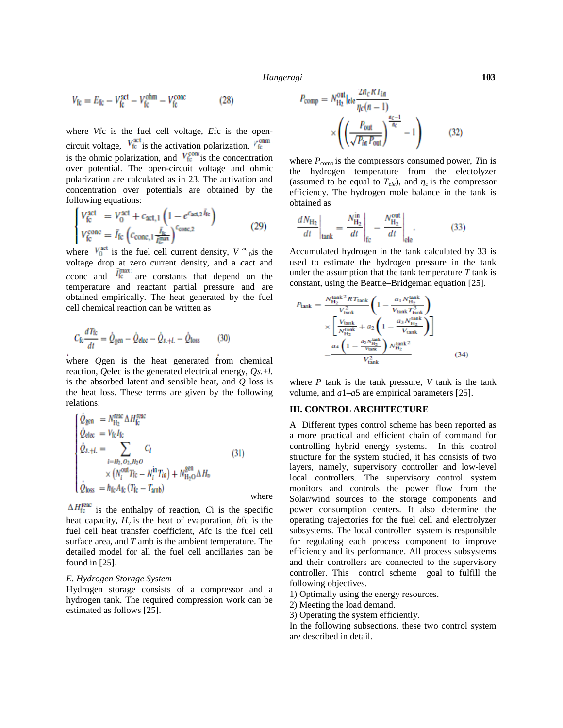*Hangeragi* **103**

$$
V_{\text{fc}} = E_{\text{fc}} - V_{\text{fc}}^{\text{act}} - V_{\text{fc}}^{\text{ohm}} - V_{\text{fc}}^{\text{conc}} \tag{28}
$$

where *V*fc is the fuel cell voltage, *E*fc is the open circuit voltage,  $V_{\text{fc}}^{\text{act}}$  is the activation polarization,  $V_{\text{fc}}^{\text{ohm}}$ is the ohmic polarization, and  $V_{\text{fc}}^{\text{cont}}$  is the concentration over potential. The open-circuit voltage and ohmic polarization are calculated as in 23. The activation and concentration over potentials are obtained by the following equations:

$$
\begin{cases}\nV_{\text{fc}}^{\text{act}} = V_0^{\text{act}} + c_{\text{act},1} \left( 1 - e^{c_{\text{act},2} \bar{I}_{\text{fc}}} \right) \\
V_{\text{fc}}^{\text{conc}} = \bar{I}_{\text{fc}} \left( c_{\text{conc},1} \frac{\bar{I}_{\text{fc}}}{\bar{I}_{\text{pc}}^{\text{max}}} \right)^{c_{\text{conc},2}}\n\end{cases} \tag{29}
$$

where  $V_0^{\text{act}}$  is the fuel cell current density,  $V^{\text{act}}$ <sub>0</sub>is the Acc voltage drop at zero current density, and a *c*act and *c*conc and  $\bar{I}_{\text{fc}}^{\text{max1}}$  are constants that depend on the temperature and reactant partial pressure and are obtained empirically. The heat generated by the fuel cell chemical reaction can be written as

$$
C_{\text{fc}} \frac{d T_{\text{fc}}}{dt} = \dot{Q}_{\text{gen}} - \dot{Q}_{\text{elec}} - \dot{Q}_{s.+l.} - \dot{Q}_{\text{loss}} \tag{30}
$$

where *Q*gen is the heat generated from chemical reaction, *Q*elec is the generated electrical energy, *Qs.*+*l.* is the absorbed latent and sensible heat, and *Q* loss is the heat loss. These terms are given by the following relations:

$$
\begin{cases}\nQ_{\text{gen}} = N_{\text{H}_2}^{\text{reac}} \Delta H_{\text{fc}}^{\text{reac}} \\
\dot{Q}_{\text{elec}} = V_{\text{fc}} I_{\text{fc}} \\
\dot{Q}_{s.+l.} = \sum_{i=H_2, O_2, H_2O} C_i \\
\times \left(N_i^{\text{out}} T_{\text{fc}} - N_i^{\text{in}} T_{\text{in}}\right) + N_{\text{H}_2O}^{\text{gen}} \Delta H_{\text{tr}} \\
\dot{Q}_{\text{loss}} = h_{\text{fc}} A_{\text{fc}} \left(T_{\text{fc}} - T_{\text{amb}}\right)\n\end{cases} \tag{31}
$$

where

 $\Delta H_{\text{fc}}^{\text{reac}}$  is the enthalpy of reaction, *C*i is the specific heat capacity,  $H_\nu$  is the heat of evaporation, *h*fc is the ope fuel cell heat transfer coefficient, *A*fc is the fuel cell surface area, and *T* amb is the ambient temperature. The detailed model for all the fuel cell ancillaries can be found in [25].

#### *E. Hydrogen Storage System*

 $\sim 10$ 

Hydrogen storage consists of a compressor and a hydrogen tank. The required compression work can be estimated as follows [25].

$$
P_{\text{comp}} = N_{\text{H}_2}^{\text{out}} \left| e \right| e^{\frac{2R_C K I_{\text{in}}}{\eta_C (n-1)}}
$$

$$
\times \left( \left( \frac{P_{\text{out}}}{\sqrt{P_{\text{in}} P_{\text{out}}}} \right)^{\frac{n_C - 1}{n_C}} - 1 \right) \tag{32}
$$

where  $P_{\text{comp}}$  is the compressors consumed power, *T*in is the hydrogen temperature from the electolyzer (assumed to be equal to  $T_{ele}$ ), and  $\epsilon$  is the compressor efficiency. The hydrogen mole balance in the tank is obtained as

$$
\left. \frac{dN_{\rm H_2}}{dt} \right|_{\rm tank} = \left. \frac{N_{\rm H_2}^{\rm H_2}}{dt} \right|_{\rm fc} - \left. \frac{N_{\rm H_2}^{\rm out}}{dt} \right|_{\rm ele}.
$$
 (33)

Accumulated hydrogen in the tank calculated by 33 is used to estimate the hydrogen pressure in the tank under the assumption that the tank temperature *T* tank is constant, using the Beattie–Bridgeman equation [25].

$$
P_{\text{tank}} = \frac{N_{\text{H}_2}^{\text{tank}} \,^2 R T_{\text{tank}}}{V_{\text{tank}}^2} \left( 1 - \frac{a_1 N_{\text{H}_2}^{\text{tank}}}{V_{\text{tank}} \, T_{\text{tank}}^3} \right) \times \left[ \frac{V_{\text{tank}}}{N_{\text{H}_2}^{\text{tank}}} + a_2 \left( 1 - \frac{a_3 N_{\text{H}_2}^{\text{tank}}}{V_{\text{tank}}} \right) \right] \newline - \frac{a_4 \left( 1 - \frac{a_5 N_{\text{H}_2}^{\text{tark}}}{V_{\text{tank}}} \right) N_{\text{H}_2}^{\text{tank}^2}}{V_{\text{tank}}^2} \tag{34}
$$

where *P* tank is the tank pressure, *V* tank is the tank volume, and *a*1–*a*5 are empirical parameters [25].

## **III. CONTROL ARCHITECTURE**

A Different types control scheme has been reported as a more practical and efficient chain of command for controlling hybrid energy systems. In this control structure for the system studied, it has consists of two layers, namely, supervisory controller and low-level local controllers. The supervisory control system monitors and controls the power flow from the Solar/wind sources to the storage components and power consumption centers. It also determine the operating trajectories for the fuel cell and electrolyzer subsystems. The local controller system is responsible for regulating each process component to improve efficiency and its performance. All process subsystems and their controllers are connected to the supervisory controller. This control scheme goal to fulfill the following objectives.

1) Optimally using the energy resources.

2) Meeting the load demand.

3) Operating the system efficiently.

In the following subsections, these two control system are described in detail.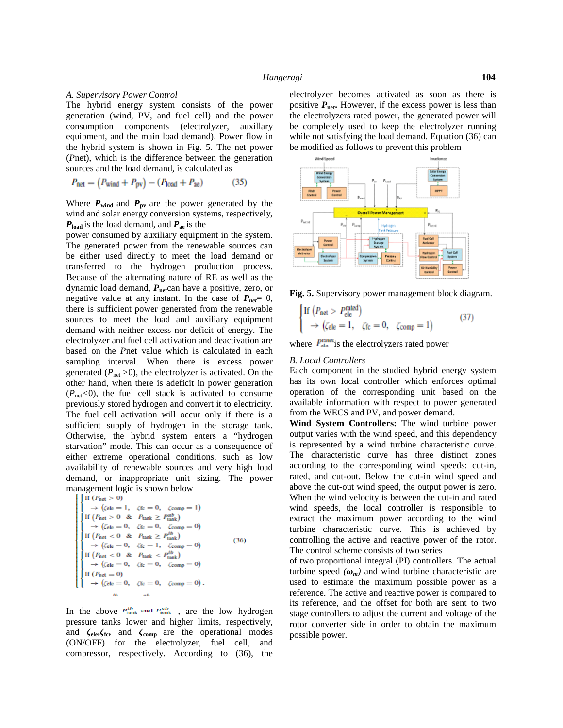### *A. Supervisory Power Control*

The hybrid energy system consists of the power generation (wind, PV, and fuel cell) and the power consumption components (electrolyzer, auxillary equipment, and the main load demand). Power flow in the hybrid system is shown in Fig. 5. The net power (*P*net), which is the difference between the generation sources and the load demand, is calculated as

$$
P_{\text{net}} = (P_{\text{wind}} + P_{\text{pv}}) - (P_{\text{load}} + P_{\text{ae}}) \tag{35}
$$

Where  $P_{wind}$  and  $P_{pv}$  are the power generated by the wind and solar energy conversion systems, respectively,  $P_{load}$  is the load demand, and  $P_{ae}$  is the

power consumed by auxiliary equipment in the system. The generated power from the renewable sources can be either used directly to meet the load demand or transferred to the hydrogen production process. Because of the alternating nature of RE as well as the dynamic load demand, *P***net**can have a positive, zero, or negative value at any instant. In the case of  $P_{net} = 0$ , there is sufficient power generated from the renewable sources to meet the load and auxiliary equipment demand with neither excess nor deficit of energy. The electrolyzer and fuel cell activation and deactivation are based on the *P*net value which is calculated in each sampling interval. When there is excess power generated  $(P_{net} > 0)$ , the electrolyzer is activated. On the other hand, when there is adeficit in power generation  $(P_{\text{net}}<0)$ , the fuel cell stack is activated to consume previously stored hydrogen and convert it to electricity. The fuel cell activation will occur only if there is a sufficient supply of hydrogen in the storage tank. Otherwise, the hybrid system enters a "hydrogen starvation" mode. This can occur as a consequence of either extreme operational conditions, such as low availability of renewable sources and very high load demand, or inappropriate unit sizing. The power management logic is shown below

If 
$$
(P_{\text{net}} > 0)
$$
\n $\rightarrow (\text{cole} = 1, \quad \zeta_{\text{fc}} = 0, \quad \zeta_{\text{comp}} = 1)$ \nIf  $(P_{\text{net}} > 0, \& P_{\text{tank}} \ge P_{\text{tank}}^{ub})$ \n $\rightarrow (\zeta_{\text{ele}} = 0, \quad \zeta_{\text{fc}} = 0, \quad \zeta_{\text{comp}} = 0)$ \nIf  $(P_{\text{net}} < 0, \& P_{\text{tank}} \ge P_{\text{tank}}^{lb})$ \n $\rightarrow (\zeta_{\text{ele}} = 0, \quad \zeta_{\text{fc}} = 1, \quad \zeta_{\text{comp}} = 0)$ \nIf  $(P_{\text{net}} < 0, \& P_{\text{tank}} < P_{\text{tank}}^{lb})$ \n $\rightarrow (\zeta_{\text{ele}} = 0, \quad \zeta_{\text{fc}} = 0, \quad \zeta_{\text{comp}} = 0)$ \nIf  $(P_{\text{net}} = 0)$ \n $\rightarrow (\zeta_{\text{ele}} = 0, \quad \zeta_{\text{fc}} = 0, \quad \zeta_{\text{comp}} = 0)$ 

In the above  $P_{\text{tank}}^{lb}$  and  $P_{\text{tank}}^{ub}$ , are the low hydrogen pressure tanks lower and higher limits, respectively, and **ele, fc,** and **comp** are the operational modes (ON/OFF) for the electrolyzer, fuel cell, and compressor, respectively. According to (36), the electrolyzer becomes activated as soon as there is positive  $P_{\text{net}}$ . However, if the excess power is less than the electrolyzers rated power, the generated power will be completely used to keep the electrolyzer running while not satisfying the load demand. Equation (36) can be modified as follows to prevent this problem



**Fig. 5.** Supervisory power management block diagram.

$$
\begin{cases}\n\text{If } (P_{\text{net}} > P_{\text{ele}}^{\text{rated}}) \\
\rightarrow (\zeta_{\text{ele}} = 1, \quad \zeta_{\text{fc}} = 0, \quad \zeta_{\text{comp}} = 1)\n\end{cases}\n\tag{37}
$$

where  $P_{\text{ele}}^{\text{frac}}$  is the electrolyzers rated power

### *B. Local Controllers*

Each component in the studied hybrid energy system has its own local controller which enforces optimal operation of the corresponding unit based on the available information with respect to power generated from the WECS and PV, and power demand.

**Wind System Controllers:** The wind turbine power output varies with the wind speed, and this dependency is represented by a wind turbine characteristic curve. The characteristic curve has three distinct zones according to the corresponding wind speeds: cut-in, rated, and cut-out. Below the cut-in wind speed and above the cut-out wind speed, the output power is zero. When the wind velocity is between the cut-in and rated wind speeds, the local controller is responsible to extract the maximum power according to the wind turbine characteristic curve. This is achieved by controlling the active and reactive power of the rotor. The control scheme consists of two series

of two proportional integral (PI) controllers. The actual turbine speed *( <sup>m</sup>)* and wind turbine characteristic are used to estimate the maximum possible power as a reference. The active and reactive power is compared to its reference, and the offset for both are sent to two stage controllers to adjust the current and voltage of the rotor converter side in order to obtain the maximum possible power.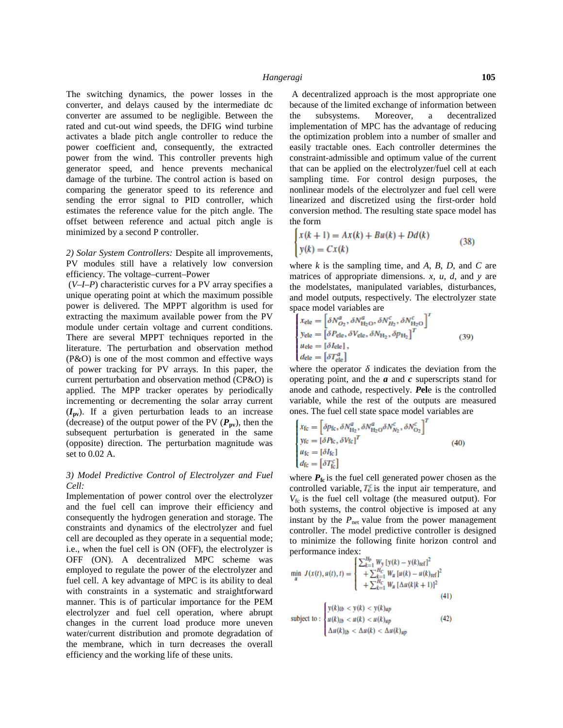The switching dynamics, the power losses in the converter, and delays caused by the intermediate dc converter are assumed to be negligible. Between the rated and cut-out wind speeds, the DFIG wind turbine activates a blade pitch angle controller to reduce the power coefficient and, consequently, the extracted power from the wind. This controller prevents high generator speed, and hence prevents mechanical damage of the turbine. The control action is based on comparing the generator speed to its reference and sending the error signal to PID controller, which estimates the reference value for the pitch angle. The offset between reference and actual pitch angle is minimized by a second P controller.

*2) Solar System Controllers:* Despite all improvements, PV modules still have a relatively low conversion efficiency. The voltage–current–Power

(*V*–*I*–*P*) characteristic curves for a PV array specifies a unique operating point at which the maximum possible power is delivered. The MPPT algorithm is used for extracting the maximum available power from the PV module under certain voltage and current conditions. There are several MPPT techniques reported in the literature. The perturbation and observation method (P&O) is one of the most common and effective ways of power tracking for PV arrays. In this paper, the current perturbation and observation method (CP&O) is applied. The MPP tracker operates by periodically incrementing or decrementing the solar array current  $(I_{\text{nv}})$ . If a given perturbation leads to an increase (decrease) of the output power of the PV  $(P_{pv})$ , then the subsequent perturbation is generated in the same (opposite) direction. The perturbation magnitude was set to 0.02 A.

# *3) Model Predictive Control of Electrolyzer and Fuel Cell:*

Implementation of power control over the electrolyzer and the fuel cell can improve their efficiency and consequently the hydrogen generation and storage. The constraints and dynamics of the electrolyzer and fuel cell are decoupled as they operate in a sequential mode; i.e., when the fuel cell is ON (OFF), the electrolyzer is OFF (ON). A decentralized MPC scheme was employed to regulate the power of the electrolyzer and fuel cell. A key advantage of MPC is its ability to deal with constraints in a systematic and straightforward manner. This is of particular importance for the PEM electrolyzer and fuel cell operation, where abrupt changes in the current load produce more uneven water/current distribution and promote degradation of the membrane, which in turn decreases the overall efficiency and the working life of these units.

A decentralized approach is the most appropriate one because of the limited exchange of information between subsystems. Moreover, a decentralized implementation of MPC has the advantage of reducing the optimization problem into a number of smaller and easily tractable ones. Each controller determines the constraint-admissible and optimum value of the current that can be applied on the electrolyzer/fuel cell at each sampling time. For control design purposes, the nonlinear models of the electrolyzer and fuel cell were linearized and discretized using the first-order hold conversion method. The resulting state space model has the form

$$
\begin{cases} x(k+1) = Ax(k) + Bu(k) + Dd(k) \\ y(k) = Cx(k) \end{cases}
$$
 (38)

where  $k$  is the sampling time, and  $A$ ,  $B$ ,  $D$ , and  $C$  are matrices of appropriate dimensions. *x*, *u*, *d*, and *y* are the modelstates, manipulated variables, disturbances, and model outputs, respectively. The electrolyzer state space model variables are

$$
\begin{aligned}\n\mathbf{x}_{\text{ele}} &= \left[ \delta N_{O_2}^a, \delta N_{\text{H}_2\text{O}}^a, \delta N_{\text{H}_2}^c, \delta N_{\text{H}_2\text{O}}^c \right]^T \\
\mathbf{y}_{\text{ele}} &= \left[ \delta P_{\text{ele}}, \delta V_{\text{ele}}, \delta N_{\text{H}_2}, \delta p_{\text{H}_2} \right]^T \\
\mathbf{u}_{\text{ele}} &= \left[ \delta I_{\text{ele}} \right], \\
d_{\text{ele}} &= \left[ \delta T_{\text{ele}}^a \right]\n\end{aligned} \tag{39}
$$

where the operator indicates the deviation from the operating point, and the *a* and *c* superscripts stand for anode and cathode, respectively. *P***el**e is the controlled variable, while the rest of the outputs are measured ones. The fuel cell state space model variables are

$$
\begin{cases}\nx_{\text{fc}} = \left[\delta p_{\text{fc}}, \delta N_{\text{H}_2}^a, \delta N_{\text{H}_2\text{O}}^a \delta N_{N_2}^c, \delta N_{\text{O}_2}^c\right]^\prime \\
y_{\text{fc}} = \left[\delta P_{\text{fc}}, \delta V_{\text{fc}}\right]^T \\
u_{\text{fc}} = \left[\delta I_{\text{fc}}\right] \\
d_{\text{fc}} = \left[\delta T_{\text{fc}}^c\right]\n\end{cases} \tag{40}
$$

where  $P_{\text{fc}}$  is the fuel cell generated power chosen as the controlled variable,  $T_{\text{in}}^{\epsilon}$  is the input air temperature, and  $V_{\text{fc}}$  is the fuel cell voltage (the measured output). For both systems, the control objective is imposed at any instant by the  $P_{\text{net}}$  value from the power management controller. The model predictive controller is designed to minimize the following finite horizon control and performance index:

$$
\min_{\mathbf{a}} J(x(t), u(t), t) = \begin{cases} \sum_{k=1}^{n} W_{y} [y(k) - y(k)_{\text{ref}}]^{2} \\ + \sum_{k=1}^{H_{C}} W_{\mathbf{a}} [u(k) - u(k)_{\text{ref}}]^{2} \\ + \sum_{k=1}^{H_{C}} W_{\mathbf{a}} [ \Delta u(k|k+1) ]^{2} \\ + \sum_{k=1}^{H_{C}} W_{\mathbf{a}} [ \Delta u(k|k+1) ]^{2} \end{cases}
$$
\n(41)  
\nsubject to: 
$$
\begin{cases} y(k)_{lb} < y(k) < y(k)_{\text{up}} \\ u(k)_{lb} < u(k) < u(k)_{\text{up}} \\ \Delta u(k)_{lb} < \Delta u(k) < \Delta u(k)_{\text{up}} \end{cases}
$$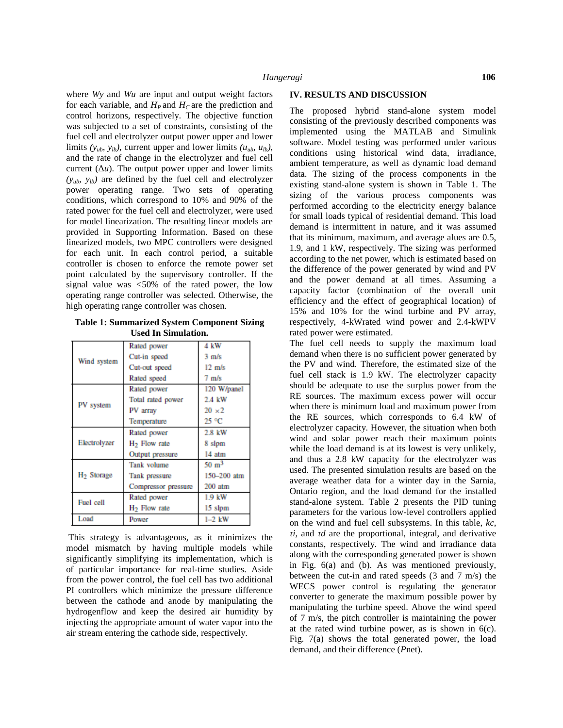where *Wy* and *Wu* are input and output weight factors for each variable, and  $H_P$  and  $H_C$  are the prediction and control horizons, respectively. The objective function was subjected to a set of constraints, consisting of the fuel cell and electrolyzer output power upper and lower limits  $(y_{ub}, y_{lb})$ , current upper and lower limits  $(u_{ub}, u_{lb})$ , and the rate of change in the electrolyzer and fuel cell current ( *u*). The output power upper and lower limits  $(y_{ub}, y_{lb})$  are defined by the fuel cell and electrolyzer power operating range. Two sets of operating conditions, which correspond to 10% and 90% of the rated power for the fuel cell and electrolyzer, were used for model linearization. The resulting linear models are provided in Supporting Information. Based on these linearized models, two MPC controllers were designed for each unit. In each control period, a suitable controller is chosen to enforce the remote power set point calculated by the supervisory controller. If the signal value was *<*50% of the rated power, the low operating range controller was selected. Otherwise, the high operating range controller was chosen.

**Table 1: Summarized System Component Sizing Used In Simulation.**

| Wind system            | Rated power                | 4 kW             |
|------------------------|----------------------------|------------------|
|                        | Cut-in speed               | $3$ m/s          |
|                        | Cut-out speed              | $12 \text{ m/s}$ |
|                        | Rated speed                | $7 \text{ m/s}$  |
| PV system              | Rated power                | 120 W/panel      |
|                        | Total rated power          | 2.4 kW           |
|                        | PV array                   | $20 \times 2$    |
|                        | Temperature                | 25 °C            |
| Electrolyzer           | Rated power                | 2.8 kW           |
|                        | H <sub>2</sub> Flow rate   | 8 slpm           |
|                        | Output pressure            | 14 atm           |
| H <sub>2</sub> Storage | <b>Tank</b> volume         | $50 \text{ m}^3$ |
|                        | Tank pressure              | 150-200 atm      |
|                        | <b>Compressor</b> pressure | $200$ atm        |
| Fuel cell              | Rated power                | 1.9 kW           |
|                        | H <sub>2</sub> Flow rate   | 15 slpm          |
| Load                   | Power                      | 1–2 kW           |

This strategy is advantageous, as it minimizes the model mismatch by having multiple models while significantly simplifying its implementation, which is of particular importance for real-time studies. Aside from the power control, the fuel cell has two additional PI controllers which minimize the pressure difference between the cathode and anode by manipulating the hydrogenflow and keep the desired air humidity by injecting the appropriate amount of water vapor into the air stream entering the cathode side, respectively.

The proposed hybrid stand-alone system model consisting of the previously described components was implemented using the MATLAB and Simulink software. Model testing was performed under various conditions using historical wind data, irradiance, ambient temperature, as well as dynamic load demand data. The sizing of the process components in the existing stand-alone system is shown in Table 1. The sizing of the various process components was performed according to the electricity energy balance for small loads typical of residential demand. This load demand is intermittent in nature, and it was assumed that its minimum, maximum, and average alues are 0.5, 1.9, and 1 kW, respectively. The sizing was performed according to the net power, which is estimated based on the difference of the power generated by wind and PV and the power demand at all times. Assuming a capacity factor (combination of the overall unit efficiency and the effect of geographical location) of 15% and 10% for the wind turbine and PV array, respectively, 4-kWrated wind power and 2.4-kWPV rated power were estimated.

The fuel cell needs to supply the maximum load demand when there is no sufficient power generated by the PV and wind. Therefore, the estimated size of the fuel cell stack is 1.9 kW. The electrolyzer capacity should be adequate to use the surplus power from the RE sources. The maximum excess power will occur when there is minimum load and maximum power from the RE sources, which corresponds to 6.4 kW of electrolyzer capacity. However, the situation when both wind and solar power reach their maximum points while the load demand is at its lowest is very unlikely, and thus a 2.8 kW capacity for the electrolyzer was used. The presented simulation results are based on the average weather data for a winter day in the Sarnia, Ontario region, and the load demand for the installed stand-alone system. Table 2 presents the PID tuning parameters for the various low-level controllers applied on the wind and fuel cell subsystems. In this table, *kc*, *i*, and *d* are the proportional, integral, and derivative constants, respectively. The wind and irradiance data along with the corresponding generated power is shown in Fig. 6(a) and (b). As was mentioned previously, between the cut-in and rated speeds (3 and 7 m/s) the WECS power control is regulating the generator converter to generate the maximum possible power by manipulating the turbine speed. Above the wind speed of 7 m/s, the pitch controller is maintaining the power at the rated wind turbine power, as is shown in 6(c). Fig. 7(a) shows the total generated power, the load demand, and their difference (*P*net).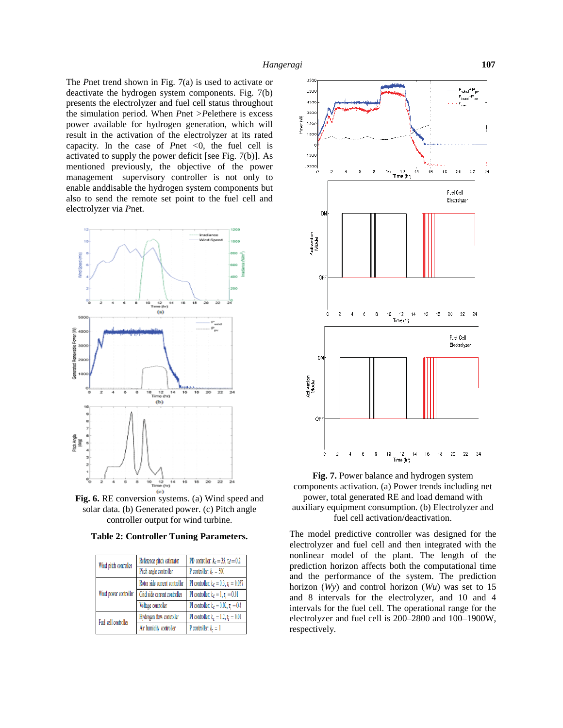The *P*net trend shown in Fig. 7(a) is used to activate or deactivate the hydrogen system components. Fig. 7(b) presents the electrolyzer and fuel cell status throughout the simulation period. When *Pnet >Pelethere* is excess  $\epsilon$ power available for hydrogen generation, which will result in the activation of the electrolyzer at its rated capacity. In the case of *P*net *<*0, the fuel cell is activated to supply the power deficit [see Fig. 7(b)]. As mentioned previously, the objective of the power management supervisory controller is not only to enable anddisable the hydrogen system components but also to send the remote set point to the fuel cell and electrolyzer via *P*net.





**Table 2: Controller Tuning Parameters.**

| Wind pitch controller | Reference pitch estimator     | PD controller: $k_c = 35$ , $t_d = 0.2$    |
|-----------------------|-------------------------------|--------------------------------------------|
|                       | Pitch angle controller        | P controller: $k = 500$                    |
| Wind power controller | Rotor side current controller | PI controller: $k_c = 0.3$ , $t_i = 0.037$ |
|                       | Grid side current controller  | PI controller: $k_c = 1$ , $t_i = 0.01$    |
|                       | Voltage controller            | PI controller: $k_c = 0.02$ , $t_i = 0.4$  |
| Fuel cell controller  | Hydrogen flow controller      | PI controller: $k_e = 1.2$ , $t_i = 0.01$  |
|                       | Air humidity controller       | P controller: $k = 1$                      |





The model predictive controller was designed for the electrolyzer and fuel cell and then integrated with the nonlinear model of the plant. The length of the prediction horizon affects both the computational time and the performance of the system. The prediction horizon (*Wy*) and control horizon (*Wu*) was set to 15 and 8 intervals for the electrolyzer, and 10 and 4 intervals for the fuel cell. The operational range for the electrolyzer and fuel cell is 200–2800 and 100–1900W, respectively.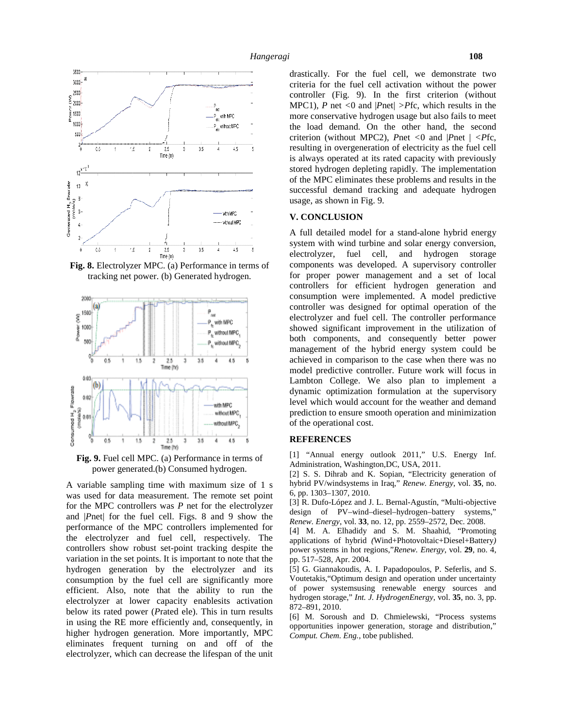

**Fig. 8.** Electrolyzer MPC. (a) Performance in terms of tracking net power. (b) Generated hydrogen.



**Fig. 9.** Fuel cell MPC. (a) Performance in terms of power generated.(b) Consumed hydrogen.

A variable sampling time with maximum size of 1 s was used for data measurement. The remote set point for the MPC controllers was *P* net for the electrolyzer and |*P*net| for the fuel cell. Figs. 8 and 9 show the performance of the MPC controllers implemented for the electrolyzer and fuel cell, respectively. The controllers show robust set-point tracking despite the variation in the set points. It is important to note that the hydrogen generation by the electrolyzer and its consumption by the fuel cell are significantly more efficient. Also, note that the ability to run the electrolyzer at lower capacity enablesits activation below its rated power (*P*rated ele). This in turn results in using the RE more efficiently and, consequently, in higher hydrogen generation. More importantly, MPC eliminates frequent turning on and off of the electrolyzer, which can decrease the lifespan of the unit drastically. For the fuel cell, we demonstrate two criteria for the fuel cell activation without the power controller (Fig. 9). In the first criterion (without MPC1), *P* net *<*0 and |*P*net| *>P*fc, which results in the more conservative hydrogen usage but also fails to meet the load demand. On the other hand, the second criterion (without MPC2), *P*net *<*0 and |*P*net | *<P*fc, resulting in overgeneration of electricity as the fuel cell is always operated at its rated capacity with previously stored hydrogen depleting rapidly. The implementation of the MPC eliminates these problems and results in the successful demand tracking and adequate hydrogen usage, as shown in Fig. 9.

# **V. CONCLUSION**

A full detailed model for a stand-alone hybrid energy system with wind turbine and solar energy conversion, electrolyzer, fuel cell, and hydrogen storage components was developed. A supervisory controller for proper power management and a set of local controllers for efficient hydrogen generation and consumption were implemented. A model predictive controller was designed for optimal operation of the electrolyzer and fuel cell. The controller performance showed significant improvement in the utilization of both components, and consequently better power management of the hybrid energy system could be achieved in comparison to the case when there was no model predictive controller. Future work will focus in Lambton College. We also plan to implement a dynamic optimization formulation at the supervisory level which would account for the weather and demand prediction to ensure smooth operation and minimization of the operational cost.

# **REFERENCES**

[1] "Annual energy outlook 2011," U.S. Energy Inf. Administration, Washington,DC, USA, 2011.

[2] S. S. Dihrab and K. Sopian, "Electricity generation of hybrid PV/windsystems in Iraq," *Renew. Energy*, vol. **35**, no. 6, pp. 1303–1307, 2010.

[3] R. Dufo-López and J. L. Bernal-Agustín, "Multi-objective design of PV–wind–diesel–hydrogen–battery systems," *Renew. Energy*, vol. **33**, no. 12, pp. 2559–2572, Dec. 2008.

[4] M. A. Elhadidy and S. M. Shaahid, "Promoting applications of hybrid *(*Wind+Photovoltaic+Diesel+Battery*)* power systems in hot regions,"*Renew. Energy*, vol. **29**, no. 4, pp. 517–528, Apr. 2004.

[5] G. Giannakoudis, A. I. Papadopoulos, P. Seferlis, and S. Voutetakis,"Optimum design and operation under uncertainty of power systemsusing renewable energy sources and hydrogen storage," *Int. J. HydrogenEnergy*, vol. **35**, no. 3, pp. 872–891, 2010.

[6] M. Soroush and D. Chmielewski, "Process systems opportunities inpower generation, storage and distribution," *Comput. Chem. Eng.*, tobe published.